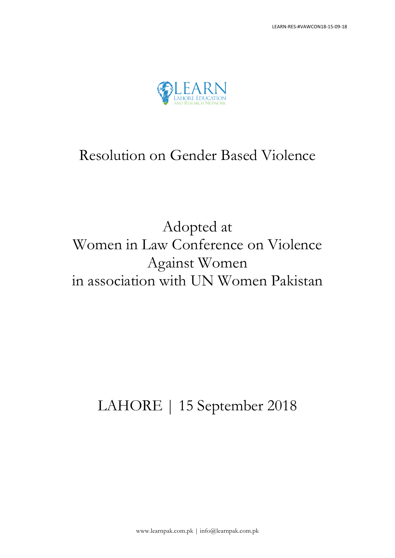

### Resolution on Gender Based Violence

## Adopted at Women in Law Conference on Violence Against Women in association with UN Women Pakistan

# LAHORE | 15 September 2018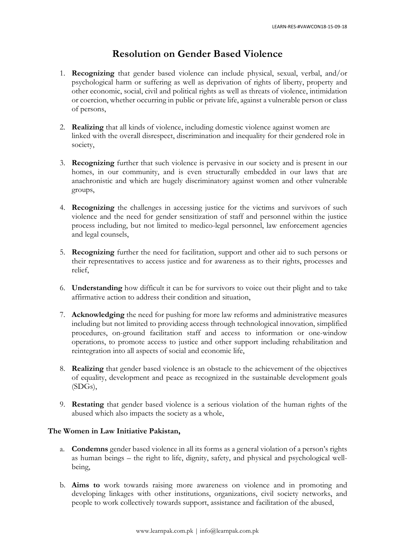#### **Resolution on Gender Based Violence**

- 1. **Recognizing** that gender based violence can include physical, sexual, verbal, and/or psychological harm or suffering as well as deprivation of rights of liberty, property and other economic, social, civil and political rights as well as threats of violence, intimidation or coercion, whether occurring in public or private life, against a vulnerable person or class of persons,
- 2. **Realizing** that all kinds of violence, including domestic violence against women are linked with the overall disrespect, discrimination and inequality for their gendered role in society,
- 3. **Recognizing** further that such violence is pervasive in our society and is present in our homes, in our community, and is even structurally embedded in our laws that are anachronistic and which are hugely discriminatory against women and other vulnerable groups,
- 4. **Recognizing** the challenges in accessing justice for the victims and survivors of such violence and the need for gender sensitization of staff and personnel within the justice process including, but not limited to medico-legal personnel, law enforcement agencies and legal counsels,
- 5. **Recognizing** further the need for facilitation, support and other aid to such persons or their representatives to access justice and for awareness as to their rights, processes and relief,
- 6. **Understanding** how difficult it can be for survivors to voice out their plight and to take affirmative action to address their condition and situation,
- 7. **Acknowledging** the need for pushing for more law reforms and administrative measures including but not limited to providing access through technological innovation, simplified procedures, on-ground facilitation staff and access to information or one-window operations, to promote access to justice and other support including rehabilitation and reintegration into all aspects of social and economic life,
- 8. **Realizing** that gender based violence is an obstacle to the achievement of the objectives of equality, development and peace as recognized in the sustainable development goals (SDGs),
- 9. **Restating** that gender based violence is a serious violation of the human rights of the abused which also impacts the society as a whole,

#### **The Women in Law Initiative Pakistan,**

- a. **Condemns** gender based violence in all its forms as a general violation of a person's rights as human beings – the right to life, dignity, safety, and physical and psychological wellbeing,
- b. **Aims to** work towards raising more awareness on violence and in promoting and developing linkages with other institutions, organizations, civil society networks, and people to work collectively towards support, assistance and facilitation of the abused,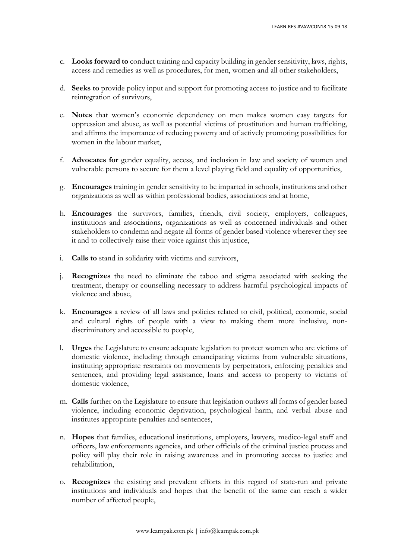- c. **Looks forward to** conduct training and capacity building in gender sensitivity, laws, rights, access and remedies as well as procedures, for men, women and all other stakeholders,
- d. **Seeks to** provide policy input and support for promoting access to justice and to facilitate reintegration of survivors,
- e. **Notes** that women's economic dependency on men makes women easy targets for oppression and abuse, as well as potential victims of prostitution and human trafficking, and affirms the importance of reducing poverty and of actively promoting possibilities for women in the labour market,
- f. **Advocates for** gender equality, access, and inclusion in law and society of women and vulnerable persons to secure for them a level playing field and equality of opportunities,
- g. **Encourages** training in gender sensitivity to be imparted in schools, institutions and other organizations as well as within professional bodies, associations and at home,
- h. **Encourages** the survivors, families, friends, civil society, employers, colleagues, institutions and associations, organizations as well as concerned individuals and other stakeholders to condemn and negate all forms of gender based violence wherever they see it and to collectively raise their voice against this injustice,
- i. **Calls to** stand in solidarity with victims and survivors,
- j. **Recognizes** the need to eliminate the taboo and stigma associated with seeking the treatment, therapy or counselling necessary to address harmful psychological impacts of violence and abuse,
- k. **Encourages** a review of all laws and policies related to civil, political, economic, social and cultural rights of people with a view to making them more inclusive, nondiscriminatory and accessible to people,
- l. **Urges** the Legislature to ensure adequate legislation to protect women who are victims of domestic violence, including through emancipating victims from vulnerable situations, instituting appropriate restraints on movements by perpetrators, enforcing penalties and sentences, and providing legal assistance, loans and access to property to victims of domestic violence,
- m. **Calls** further on the Legislature to ensure that legislation outlaws all forms of gender based violence, including economic deprivation, psychological harm, and verbal abuse and institutes appropriate penalties and sentences,
- n. **Hopes** that families, educational institutions, employers, lawyers, medico-legal staff and officers, law enforcements agencies, and other officials of the criminal justice process and policy will play their role in raising awareness and in promoting access to justice and rehabilitation,
- o. **Recognizes** the existing and prevalent efforts in this regard of state-run and private institutions and individuals and hopes that the benefit of the same can reach a wider number of affected people,